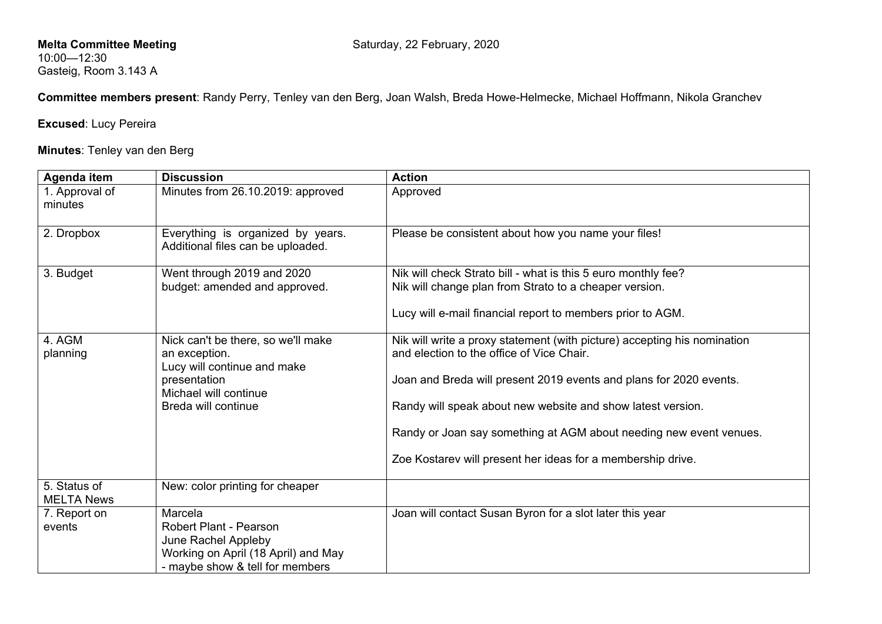10:00—12:30 Gasteig, Room 3.143 A

**Committee members present**: Randy Perry, Tenley van den Berg, Joan Walsh, Breda Howe-Helmecke, Michael Hoffmann, Nikola Granchev

## **Excused**: Lucy Pereira

## **Minutes**: Tenley van den Berg

| Agenda item                       | <b>Discussion</b>                                                                  | <b>Action</b>                                                                                                           |
|-----------------------------------|------------------------------------------------------------------------------------|-------------------------------------------------------------------------------------------------------------------------|
| 1. Approval of<br>minutes         | Minutes from 26.10.2019: approved                                                  | Approved                                                                                                                |
| 2. Dropbox                        | Everything is organized by years.<br>Additional files can be uploaded.             | Please be consistent about how you name your files!                                                                     |
| 3. Budget                         | Went through 2019 and 2020<br>budget: amended and approved.                        | Nik will check Strato bill - what is this 5 euro monthly fee?<br>Nik will change plan from Strato to a cheaper version. |
|                                   |                                                                                    | Lucy will e-mail financial report to members prior to AGM.                                                              |
| 4. AGM<br>planning                | Nick can't be there, so we'll make<br>an exception.<br>Lucy will continue and make | Nik will write a proxy statement (with picture) accepting his nomination<br>and election to the office of Vice Chair.   |
|                                   | presentation<br>Michael will continue                                              | Joan and Breda will present 2019 events and plans for 2020 events.                                                      |
|                                   | Breda will continue                                                                | Randy will speak about new website and show latest version.                                                             |
|                                   |                                                                                    | Randy or Joan say something at AGM about needing new event venues.                                                      |
|                                   |                                                                                    | Zoe Kostarev will present her ideas for a membership drive.                                                             |
| 5. Status of<br><b>MELTA News</b> | New: color printing for cheaper                                                    |                                                                                                                         |
| 7. Report on                      | Marcela                                                                            | Joan will contact Susan Byron for a slot later this year                                                                |
| events                            | <b>Robert Plant - Pearson</b>                                                      |                                                                                                                         |
|                                   | June Rachel Appleby                                                                |                                                                                                                         |
|                                   | Working on April (18 April) and May                                                |                                                                                                                         |
|                                   | - maybe show & tell for members                                                    |                                                                                                                         |